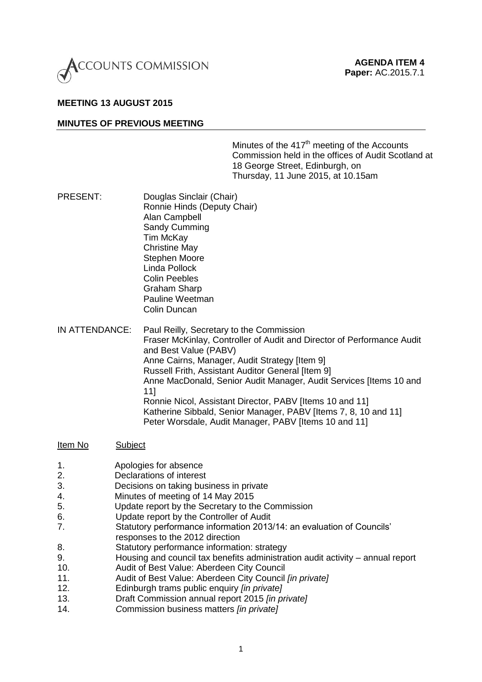

## **MEETING 13 AUGUST 2015**

#### **MINUTES OF PREVIOUS MEETING**

Minutes of the  $417<sup>th</sup>$  meeting of the Accounts Commission held in the offices of Audit Scotland at 18 George Street, Edinburgh, on Thursday, 11 June 2015, at 10.15am

- PRESENT: Douglas Sinclair (Chair) Ronnie Hinds (Deputy Chair) Alan Campbell Sandy Cumming Tim McKay Christine May Stephen Moore Linda Pollock Colin Peebles Graham Sharp Pauline Weetman Colin Duncan
- IN ATTENDANCE: Paul Reilly, Secretary to the Commission Fraser McKinlay, Controller of Audit and Director of Performance Audit and Best Value (PABV) Anne Cairns, Manager, Audit Strategy [Item 9] Russell Frith, Assistant Auditor General [Item 9] Anne MacDonald, Senior Audit Manager, Audit Services [Items 10 and 11] Ronnie Nicol, Assistant Director, PABV [Items 10 and 11] Katherine Sibbald, Senior Manager, PABV [Items 7, 8, 10 and 11] Peter Worsdale, Audit Manager, PABV [Items 10 and 11]

#### Item No Subject

- 1. Apologies for absence
- 2. Declarations of interest
- 3. Decisions on taking business in private
- 4. Minutes of meeting of 14 May 2015
- 5. Update report by the Secretary to the Commission
- 6. Update report by the Controller of Audit
- 7. Statutory performance information 2013/14: an evaluation of Councils' responses to the 2012 direction
- 8. Statutory performance information: strategy
- 9. Housing and council tax benefits administration audit activity annual report
- 10. Audit of Best Value: Aberdeen City Council
- 11. Audit of Best Value: Aberdeen City Council *[in private]*
- 12. Edinburgh trams public enquiry *[in private]*
- 13. Draft Commission annual report 2015 *[in private]*
- 14. *C*ommission business matters *[in private]*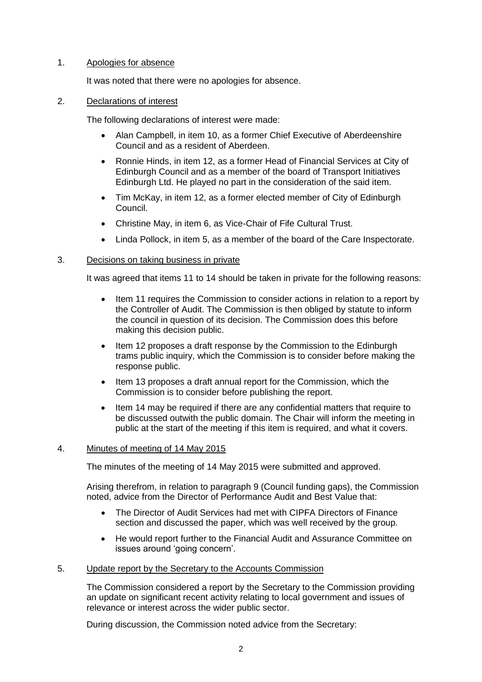## 1. Apologies for absence

It was noted that there were no apologies for absence.

# 2. Declarations of interest

The following declarations of interest were made:

- Alan Campbell, in item 10, as a former Chief Executive of Aberdeenshire Council and as a resident of Aberdeen.
- Ronnie Hinds, in item 12, as a former Head of Financial Services at City of Edinburgh Council and as a member of the board of Transport Initiatives Edinburgh Ltd. He played no part in the consideration of the said item.
- Tim McKay, in item 12, as a former elected member of City of Edinburgh Council.
- Christine May, in item 6, as Vice-Chair of Fife Cultural Trust.
- Linda Pollock, in item 5, as a member of the board of the Care Inspectorate.

# 3. Decisions on taking business in private

It was agreed that items 11 to 14 should be taken in private for the following reasons:

- Item 11 requires the Commission to consider actions in relation to a report by the Controller of Audit. The Commission is then obliged by statute to inform the council in question of its decision. The Commission does this before making this decision public.
- Item 12 proposes a draft response by the Commission to the Edinburgh trams public inquiry, which the Commission is to consider before making the response public.
- Item 13 proposes a draft annual report for the Commission, which the Commission is to consider before publishing the report.
- Item 14 may be required if there are any confidential matters that require to be discussed outwith the public domain. The Chair will inform the meeting in public at the start of the meeting if this item is required, and what it covers.

## 4. Minutes of meeting of 14 May 2015

The minutes of the meeting of 14 May 2015 were submitted and approved.

Arising therefrom, in relation to paragraph 9 (Council funding gaps), the Commission noted, advice from the Director of Performance Audit and Best Value that:

- The Director of Audit Services had met with CIPFA Directors of Finance section and discussed the paper, which was well received by the group.
- He would report further to the Financial Audit and Assurance Committee on issues around 'going concern'.

## 5. Update report by the Secretary to the Accounts Commission

The Commission considered a report by the Secretary to the Commission providing an update on significant recent activity relating to local government and issues of relevance or interest across the wider public sector.

During discussion, the Commission noted advice from the Secretary: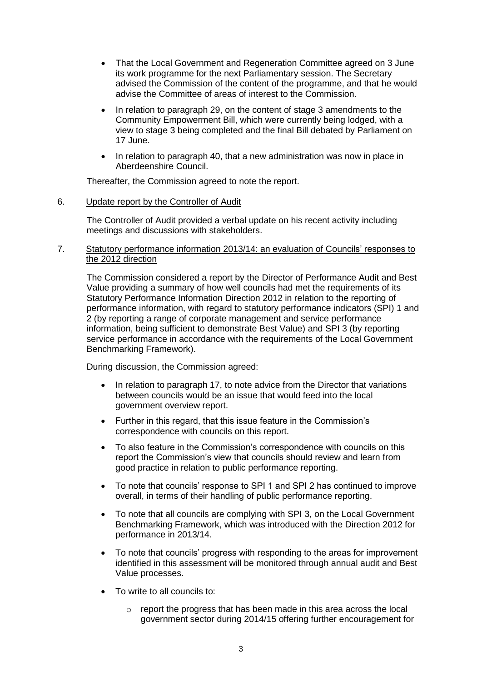- That the Local Government and Regeneration Committee agreed on 3 June its work programme for the next Parliamentary session. The Secretary advised the Commission of the content of the programme, and that he would advise the Committee of areas of interest to the Commission.
- In relation to paragraph 29, on the content of stage 3 amendments to the Community Empowerment Bill, which were currently being lodged, with a view to stage 3 being completed and the final Bill debated by Parliament on 17 June.
- In relation to paragraph 40, that a new administration was now in place in Aberdeenshire Council.

Thereafter, the Commission agreed to note the report.

### 6. Update report by the Controller of Audit

The Controller of Audit provided a verbal update on his recent activity including meetings and discussions with stakeholders.

### 7. Statutory performance information 2013/14: an evaluation of Councils' responses to the 2012 direction

The Commission considered a report by the Director of Performance Audit and Best Value providing a summary of how well councils had met the requirements of its Statutory Performance Information Direction 2012 in relation to the reporting of performance information, with regard to statutory performance indicators (SPI) 1 and 2 (by reporting a range of corporate management and service performance information, being sufficient to demonstrate Best Value) and SPI 3 (by reporting service performance in accordance with the requirements of the Local Government Benchmarking Framework).

During discussion, the Commission agreed:

- In relation to paragraph 17, to note advice from the Director that variations between councils would be an issue that would feed into the local government overview report.
- Further in this regard, that this issue feature in the Commission's correspondence with councils on this report.
- To also feature in the Commission's correspondence with councils on this report the Commission's view that councils should review and learn from good practice in relation to public performance reporting.
- To note that councils' response to SPI 1 and SPI 2 has continued to improve overall, in terms of their handling of public performance reporting.
- To note that all councils are complying with SPI 3, on the Local Government Benchmarking Framework, which was introduced with the Direction 2012 for performance in 2013/14.
- To note that councils' progress with responding to the areas for improvement identified in this assessment will be monitored through annual audit and Best Value processes.
- To write to all councils to:
	- $\circ$  report the progress that has been made in this area across the local government sector during 2014/15 offering further encouragement for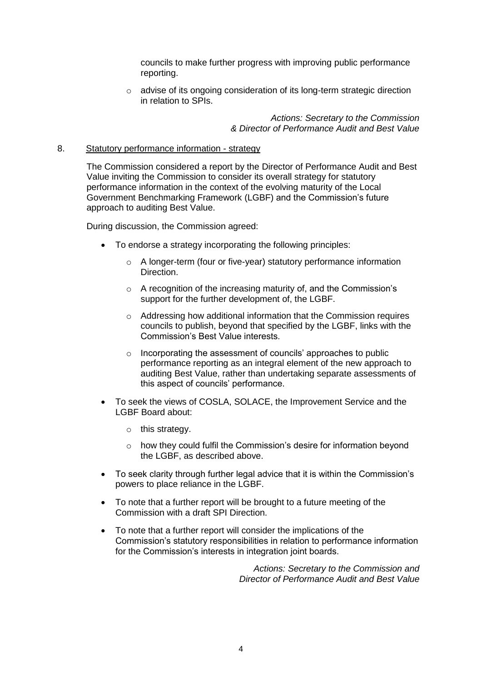councils to make further progress with improving public performance reporting.

o advise of its ongoing consideration of its long-term strategic direction in relation to SPIs.

> *Actions: Secretary to the Commission & Director of Performance Audit and Best Value*

#### 8. Statutory performance information - strategy

The Commission considered a report by the Director of Performance Audit and Best Value inviting the Commission to consider its overall strategy for statutory performance information in the context of the evolving maturity of the Local Government Benchmarking Framework (LGBF) and the Commission's future approach to auditing Best Value.

During discussion, the Commission agreed:

- To endorse a strategy incorporating the following principles:
	- o A longer-term (four or five-year) statutory performance information Direction.
	- o A recognition of the increasing maturity of, and the Commission's support for the further development of, the LGBF.
	- o Addressing how additional information that the Commission requires councils to publish, beyond that specified by the LGBF, links with the Commission's Best Value interests.
	- o Incorporating the assessment of councils' approaches to public performance reporting as an integral element of the new approach to auditing Best Value, rather than undertaking separate assessments of this aspect of councils' performance.
- To seek the views of COSLA, SOLACE, the Improvement Service and the LGBF Board about:
	- o this strategy.
	- o how they could fulfil the Commission's desire for information beyond the LGBF, as described above.
- To seek clarity through further legal advice that it is within the Commission's powers to place reliance in the LGBF.
- To note that a further report will be brought to a future meeting of the Commission with a draft SPI Direction.
- To note that a further report will consider the implications of the Commission's statutory responsibilities in relation to performance information for the Commission's interests in integration joint boards.

*Actions: Secretary to the Commission and Director of Performance Audit and Best Value*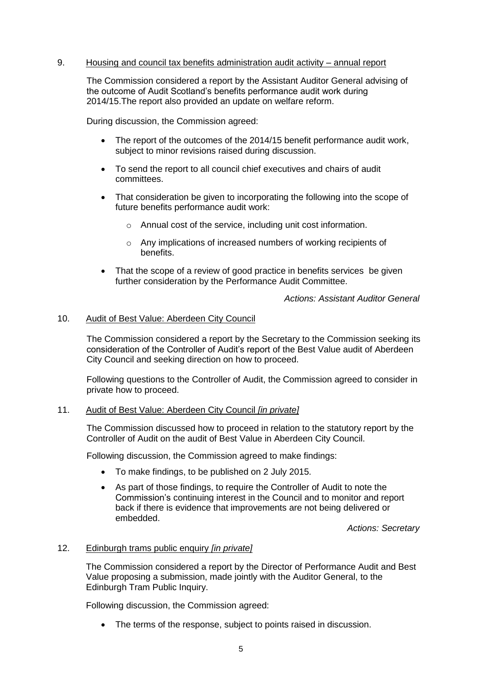### 9. Housing and council tax benefits administration audit activity – annual report

The Commission considered a report by the Assistant Auditor General advising of the outcome of Audit Scotland's benefits performance audit work during 2014/15.The report also provided an update on welfare reform.

During discussion, the Commission agreed:

- The report of the outcomes of the 2014/15 benefit performance audit work, subject to minor revisions raised during discussion.
- To send the report to all council chief executives and chairs of audit committees.
- That consideration be given to incorporating the following into the scope of future benefits performance audit work:
	- o Annual cost of the service, including unit cost information.
	- o Any implications of increased numbers of working recipients of benefits.
- That the scope of a review of good practice in benefits services be given further consideration by the Performance Audit Committee.

*Actions: Assistant Auditor General*

#### 10. Audit of Best Value: Aberdeen City Council

The Commission considered a report by the Secretary to the Commission seeking its consideration of the Controller of Audit's report of the Best Value audit of Aberdeen City Council and seeking direction on how to proceed.

Following questions to the Controller of Audit, the Commission agreed to consider in private how to proceed.

#### 11. Audit of Best Value: Aberdeen City Council *[in private]*

The Commission discussed how to proceed in relation to the statutory report by the Controller of Audit on the audit of Best Value in Aberdeen City Council.

Following discussion, the Commission agreed to make findings:

- To make findings, to be published on 2 July 2015.
- As part of those findings, to require the Controller of Audit to note the Commission's continuing interest in the Council and to monitor and report back if there is evidence that improvements are not being delivered or embedded.

*Actions: Secretary*

#### 12. Edinburgh trams public enquiry *[in private]*

The Commission considered a report by the Director of Performance Audit and Best Value proposing a submission, made jointly with the Auditor General, to the Edinburgh Tram Public Inquiry.

Following discussion, the Commission agreed:

• The terms of the response, subject to points raised in discussion.